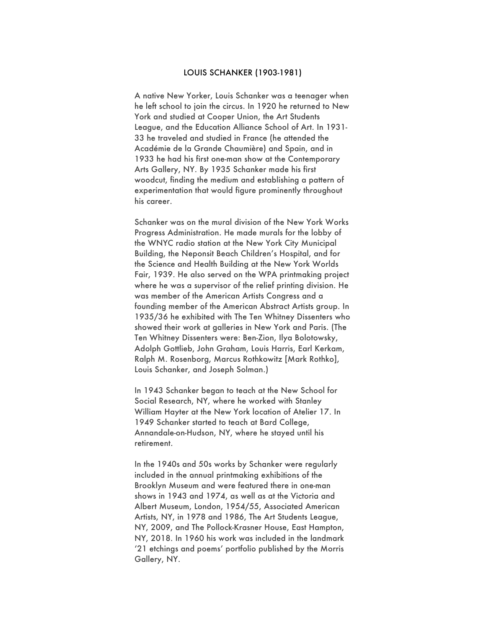## LOUIS SCHANKER (1903-1981)

A native New Yorker, Louis Schanker was a teenager when he left school to join the circus. In 1920 he returned to New York and studied at Cooper Union, the Art Students League, and the Education Alliance School of Art. In 1931- 33 he traveled and studied in France (he attended the Académie de la Grande Chaumière) and Spain, and in 1933 he had his first one-man show at the Contemporary Arts Gallery, NY. By 1935 Schanker made his first woodcut, finding the medium and establishing a pattern of experimentation that would figure prominently throughout his career.

Schanker was on the mural division of the New York Works Progress Administration. He made murals for the lobby of the WNYC radio station at the New York City Municipal Building, the Neponsit Beach Children's Hospital, and for the Science and Health Building at the New York Worlds Fair, 1939. He also served on the WPA printmaking project where he was a supervisor of the relief printing division. He was member of the American Artists Congress and a founding member of the American Abstract Artists group. In 1935/36 he exhibited with The Ten Whitney Dissenters who showed their work at galleries in New York and Paris. (The Ten Whitney Dissenters were: Ben-Zion, Ilya Bolotowsky, Adolph Gottlieb, John Graham, Louis Harris, Earl Kerkam, Ralph M. Rosenborg, Marcus Rothkowitz [Mark Rothko], Louis Schanker, and Joseph Solman.)

In 1943 Schanker began to teach at the New School for Social Research, NY, where he worked with Stanley William Hayter at the New York location of Atelier 17. In 1949 Schanker started to teach at Bard College, Annandale-on-Hudson, NY, where he stayed until his retirement.

In the 1940s and 50s works by Schanker were regularly included in the annual printmaking exhibitions of the Brooklyn Museum and were featured there in one-man shows in 1943 and 1974, as well as at the Victoria and Albert Museum, London, 1954/55, Associated American Artists, NY, in 1978 and 1986, The Art Students League, NY, 2009, and The Pollock-Krasner House, East Hampton, NY, 2018. In 1960 his work was included in the landmark '21 etchings and poems' portfolio published by the Morris Gallery, NY.